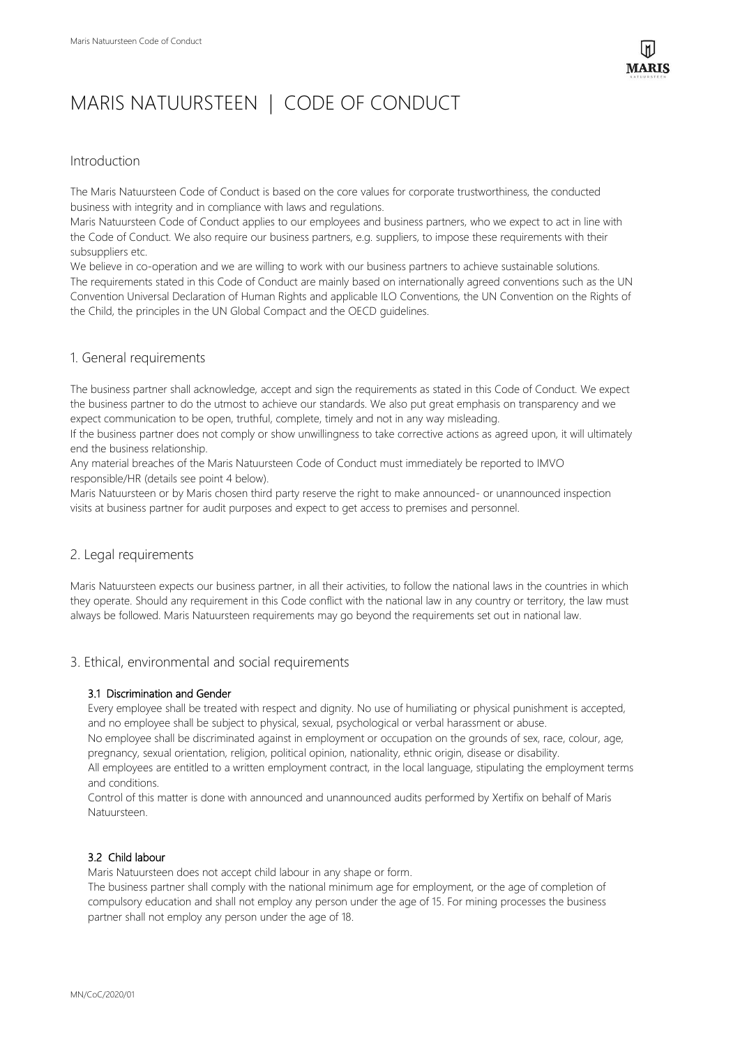# MARIS NATUURSTEEN | CODE OF CONDUCT

## Introduction

The Maris Natuursteen Code of Conduct is based on the core values for corporate trustworthiness, the conducted business with integrity and in compliance with laws and regulations.

Maris Natuursteen Code of Conduct applies to our employees and business partners, who we expect to act in line with the Code of Conduct. We also require our business partners, e.g. suppliers, to impose these requirements with their subsuppliers etc.

We believe in co-operation and we are willing to work with our business partners to achieve sustainable solutions. The requirements stated in this Code of Conduct are mainly based on internationally agreed conventions such as the UN Convention Universal Declaration of Human Rights and applicable ILO Conventions, the UN Convention on the Rights of the Child, the principles in the UN Global Compact and the OECD guidelines.

# 1. General requirements

The business partner shall acknowledge, accept and sign the requirements as stated in this Code of Conduct. We expect the business partner to do the utmost to achieve our standards. We also put great emphasis on transparency and we expect communication to be open, truthful, complete, timely and not in any way misleading.

If the business partner does not comply or show unwillingness to take corrective actions as agreed upon, it will ultimately end the business relationship.

Any material breaches of the Maris Natuursteen Code of Conduct must immediately be reported to IMVO responsible/HR (details see point 4 below).

Maris Natuursteen or by Maris chosen third party reserve the right to make announced- or unannounced inspection visits at business partner for audit purposes and expect to get access to premises and personnel.

# 2. Legal requirements

Maris Natuursteen expects our business partner, in all their activities, to follow the national laws in the countries in which they operate. Should any requirement in this Code conflict with the national law in any country or territory, the law must always be followed. Maris Natuursteen requirements may go beyond the requirements set out in national law.

## 3. Ethical, environmental and social requirements

## 3.1 Discrimination and Gender

Every employee shall be treated with respect and dignity. No use of humiliating or physical punishment is accepted, and no employee shall be subject to physical, sexual, psychological or verbal harassment or abuse.

No employee shall be discriminated against in employment or occupation on the grounds of sex, race, colour, age, pregnancy, sexual orientation, religion, political opinion, nationality, ethnic origin, disease or disability.

All employees are entitled to a written employment contract, in the local language, stipulating the employment terms and conditions.

Control of this matter is done with announced and unannounced audits performed by Xertifix on behalf of Maris Natuursteen.

## 3.2 Child labour

Maris Natuursteen does not accept child labour in any shape or form.

The business partner shall comply with the national minimum age for employment, or the age of completion of compulsory education and shall not employ any person under the age of 15. For mining processes the business partner shall not employ any person under the age of 18.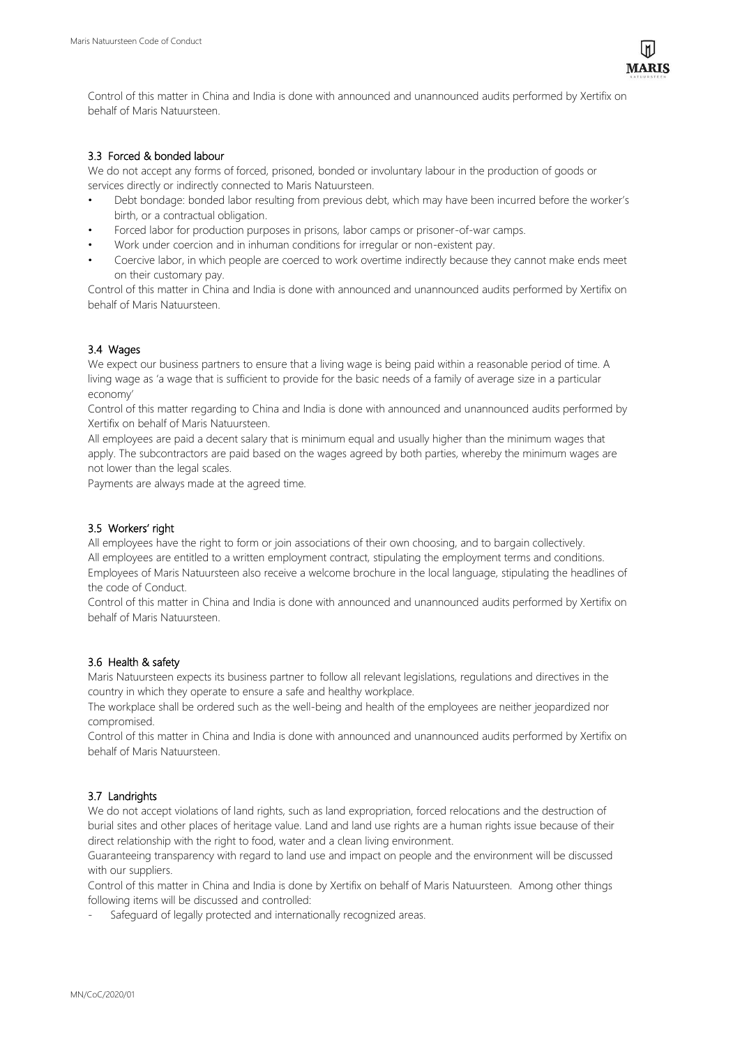Control of this matter in China and India is done with announced and unannounced audits performed by Xertifix on behalf of Maris Natuursteen.

## 3.3 Forced & bonded labour

We do not accept any forms of forced, prisoned, bonded or involuntary labour in the production of goods or services directly or indirectly connected to Maris Natuursteen.

- Debt bondage: bonded labor resulting from previous debt, which may have been incurred before the worker's birth, or a contractual obligation.
- Forced labor for production purposes in prisons, labor camps or prisoner-of-war camps.
- Work under coercion and in inhuman conditions for irregular or non-existent pay.
- Coercive labor, in which people are coerced to work overtime indirectly because they cannot make ends meet on their customary pay.

Control of this matter in China and India is done with announced and unannounced audits performed by Xertifix on behalf of Maris Natuursteen.

## 3.4 Wages

We expect our business partners to ensure that a living wage is being paid within a reasonable period of time. A living wage as 'a wage that is sufficient to provide for the basic needs of a family of average size in a particular economy'

Control of this matter regarding to China and India is done with announced and unannounced audits performed by Xertifix on behalf of Maris Natuursteen.

All employees are paid a decent salary that is minimum equal and usually higher than the minimum wages that apply. The subcontractors are paid based on the wages agreed by both parties, whereby the minimum wages are not lower than the legal scales.

Payments are always made at the agreed time.

## 3.5 Workers' right

All employees have the right to form or join associations of their own choosing, and to bargain collectively. All employees are entitled to a written employment contract, stipulating the employment terms and conditions. Employees of Maris Natuursteen also receive a welcome brochure in the local language, stipulating the headlines of the code of Conduct.

Control of this matter in China and India is done with announced and unannounced audits performed by Xertifix on behalf of Maris Natuursteen.

## 3.6 Health & safety

Maris Natuursteen expects its business partner to follow all relevant legislations, regulations and directives in the country in which they operate to ensure a safe and healthy workplace.

The workplace shall be ordered such as the well-being and health of the employees are neither jeopardized nor compromised.

Control of this matter in China and India is done with announced and unannounced audits performed by Xertifix on behalf of Maris Natuursteen.

## 3.7 Landrights

We do not accept violations of land rights, such as land expropriation, forced relocations and the destruction of burial sites and other places of heritage value. Land and land use rights are a human rights issue because of their direct relationship with the right to food, water and a clean living environment.

Guaranteeing transparency with regard to land use and impact on people and the environment will be discussed with our suppliers.

Control of this matter in China and India is done by Xertifix on behalf of Maris Natuursteen. Among other things following items will be discussed and controlled:

Safeguard of legally protected and internationally recognized areas.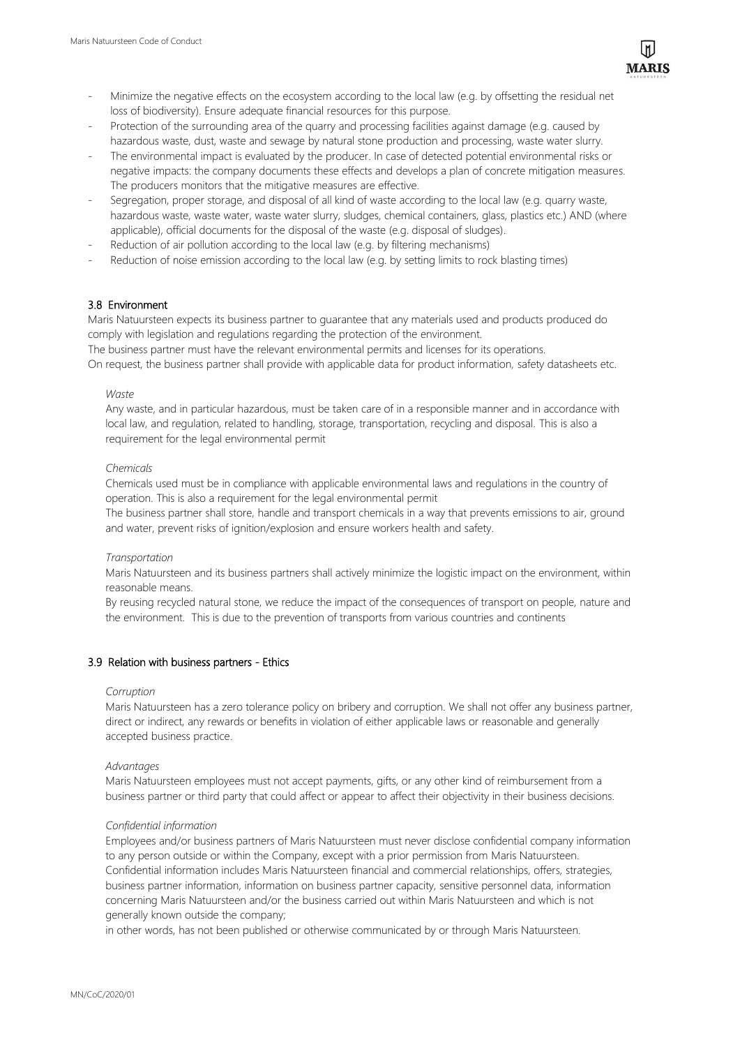- Minimize the negative effects on the ecosystem according to the local law (e.g. by offsetting the residual net loss of biodiversity). Ensure adequate financial resources for this purpose.
- Protection of the surrounding area of the quarry and processing facilities against damage (e.g. caused by hazardous waste, dust, waste and sewage by natural stone production and processing, waste water slurry.
- The environmental impact is evaluated by the producer. In case of detected potential environmental risks or negative impacts: the company documents these effects and develops a plan of concrete mitigation measures. The producers monitors that the mitigative measures are effective.
- Segregation, proper storage, and disposal of all kind of waste according to the local law (e.g. quarry waste, hazardous waste, waste water, waste water slurry, sludges, chemical containers, glass, plastics etc.) AND (where applicable), official documents for the disposal of the waste (e.g. disposal of sludges).
- Reduction of air pollution according to the local law (e.g. by filtering mechanisms)
- Reduction of noise emission according to the local law (e.g. by setting limits to rock blasting times)

## 3.8 Environment

Maris Natuursteen expects its business partner to guarantee that any materials used and products produced do comply with legislation and regulations regarding the protection of the environment.

The business partner must have the relevant environmental permits and licenses for its operations. On request, the business partner shall provide with applicable data for product information, safety datasheets etc.

#### *Waste*

Any waste, and in particular hazardous, must be taken care of in a responsible manner and in accordance with local law, and regulation, related to handling, storage, transportation, recycling and disposal. This is also a requirement for the legal environmental permit

## *Chemicals*

Chemicals used must be in compliance with applicable environmental laws and regulations in the country of operation. This is also a requirement for the legal environmental permit

The business partner shall store, handle and transport chemicals in a way that prevents emissions to air, ground and water, prevent risks of ignition/explosion and ensure workers health and safety.

#### *Transportation*

Maris Natuursteen and its business partners shall actively minimize the logistic impact on the environment, within reasonable means.

By reusing recycled natural stone, we reduce the impact of the consequences of transport on people, nature and the environment. This is due to the prevention of transports from various countries and continents

## 3.9 Relation with business partners - Ethics

#### *Corruption*

Maris Natuursteen has a zero tolerance policy on bribery and corruption. We shall not offer any business partner, direct or indirect, any rewards or benefits in violation of either applicable laws or reasonable and generally accepted business practice.

#### *Advantages*

Maris Natuursteen employees must not accept payments, gifts, or any other kind of reimbursement from a business partner or third party that could affect or appear to affect their objectivity in their business decisions.

## *Confidential information*

Employees and/or business partners of Maris Natuursteen must never disclose confidential company information to any person outside or within the Company, except with a prior permission from Maris Natuursteen. Confidential information includes Maris Natuursteen financial and commercial relationships, offers, strategies, business partner information, information on business partner capacity, sensitive personnel data, information concerning Maris Natuursteen and/or the business carried out within Maris Natuursteen and which is not generally known outside the company;

in other words, has not been published or otherwise communicated by or through Maris Natuursteen.